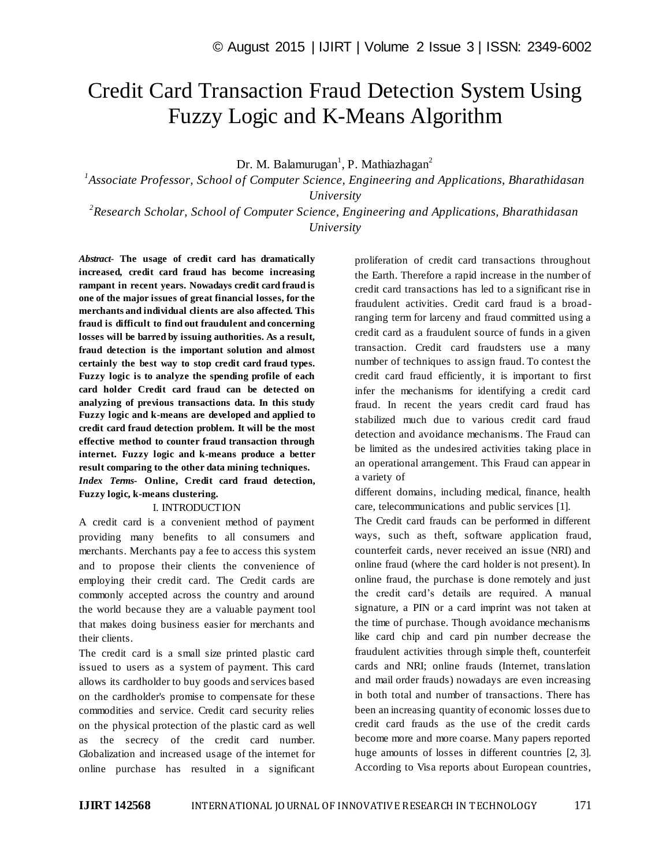# Credit Card Transaction Fraud Detection System Using Fuzzy Logic and K-Means Algorithm

Dr. M. Balamurugan<sup>1</sup>, P. Mathiazhagan<sup>2</sup>

<sup>1</sup> Associate Professor, School of Computer Science, Engineering and Applications, Bharathidasan *University*

*2 Research Scholar, School of Computer Science, Engineering and Applications, Bharathidasan University*

*Abstract*- **The usage of credit card has dramatically increased, credit card fraud has become increasing rampant in recent years. Nowadays credit card fraud is one of the major issues of great financial losses, for the merchants and individual clients are also affected. This fraud is difficult to find out fraudulent and concerning losses will be barred by issuing authorities. As a result, fraud detection is the important solution and almost certainly the best way to stop credit card fraud types. Fuzzy logic is to analyze the spending profile of each card holder Credit card fraud can be detected on analyzing of previous transactions data. In this study Fuzzy logic and k-means are developed and applied to credit card fraud detection problem. It will be the most effective method to counter fraud transaction through internet. Fuzzy logic and k-means produce a better result comparing to the other data mining techniques.** *Index Terms***- Online, Credit card fraud detection, Fuzzy logic, k-means clustering.**

#### I. INTRODUCTION

A credit card is a convenient method of payment providing many benefits to all consumers and merchants. Merchants pay a fee to access this system and to propose their clients the convenience of employing their credit card. The Credit cards are commonly accepted across the country and around the world because they are a valuable payment tool that makes doing business easier for merchants and their clients.

The credit card is a small size printed plastic card issued to users as a system of payment. This card allows its cardholder to buy goods and services based on the cardholder's promise to compensate for these commodities and service. Credit card security relies on the physical protection of the plastic card as well as the secrecy of the credit card number. Globalization and increased usage of the internet for online purchase has resulted in a significant

proliferation of credit card transactions throughout the Earth. Therefore a rapid increase in the number of credit card transactions has led to a significant rise in fraudulent activities. Credit card fraud is a broadranging term for larceny and fraud committed using a credit card as a fraudulent source of funds in a given transaction. Credit card fraudsters use a many number of techniques to assign fraud. To contest the credit card fraud efficiently, it is important to first infer the mechanisms for identifying a credit card fraud. In recent the years credit card fraud has stabilized much due to various credit card fraud detection and avoidance mechanisms. The Fraud can be limited as the undesired activities taking place in an operational arrangement. This Fraud can appear in a variety of

different domains, including medical, finance, health care, telecommunications and public services [1].

The Credit card frauds can be performed in different ways, such as theft, software application fraud, counterfeit cards, never received an issue (NRI) and online fraud (where the card holder is not present). In online fraud, the purchase is done remotely and just the credit card"s details are required. A manual signature, a PIN or a card imprint was not taken at the time of purchase. Though avoidance mechanisms like card chip and card pin number decrease the fraudulent activities through simple theft, counterfeit cards and NRI; online frauds (Internet, translation and mail order frauds) nowadays are even increasing in both total and number of transactions. There has been an increasing quantity of economic losses due to credit card frauds as the use of the credit cards become more and more coarse. Many papers reported huge amounts of losses in different countries [2, 3]. According to Visa reports about European countries,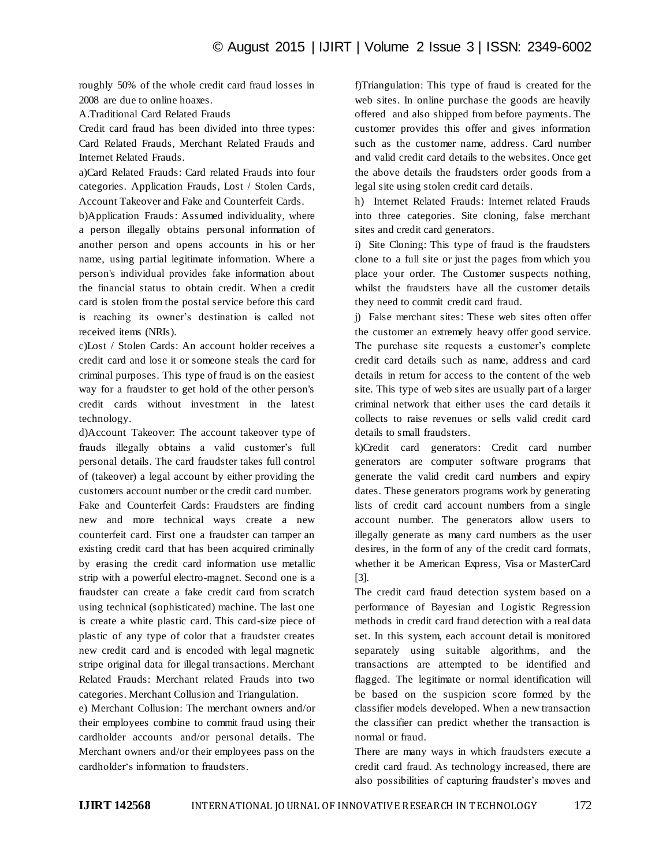roughly 50% of the whole credit card fraud losses in 2008 are due to online hoaxes.

A.Traditional Card Related Frauds

Credit card fraud has been divided into three types: Card Related Frauds, Merchant Related Frauds and Internet Related Frauds.

a)Card Related Frauds: Card related Frauds into four categories. Application Frauds, Lost / Stolen Cards, Account Takeover and Fake and Counterfeit Cards.

b)Application Frauds: Assumed individuality, where a person illegally obtains personal information of another person and opens accounts in his or her name, using partial legitimate information. Where a person's individual provides fake information about the financial status to obtain credit. When a credit card is stolen from the postal service before this card is reaching its owner"s destination is called not received items (NRIs).

c)Lost / Stolen Cards: An account holder receives a credit card and lose it or someone steals the card for criminal purposes. This type of fraud is on the easiest way for a fraudster to get hold of the other person's credit cards without investment in the latest technology.

d)Account Takeover: The account takeover type of frauds illegally obtains a valid customer's full personal details. The card fraudster takes full control of (takeover) a legal account by either providing the customers account number or the credit card number. Fake and Counterfeit Cards: Fraudsters are finding new and more technical ways create a new counterfeit card. First one a fraudster can tamper an existing credit card that has been acquired criminally by erasing the credit card information use metallic strip with a powerful electro-magnet. Second one is a fraudster can create a fake credit card from scratch using technical (sophisticated) machine. The last one is create a white plastic card. This card-size piece of plastic of any type of color that a fraudster creates new credit card and is encoded with legal magnetic stripe original data for illegal transactions. Merchant Related Frauds: Merchant related Frauds into two categories. Merchant Collusion and Triangulation.

e) Merchant Collusion: The merchant owners and/or their employees combine to commit fraud using their cardholder accounts and/or personal details. The Merchant owners and/or their employees pass on the cardholder"s information to fraudsters.

f)Triangulation: This type of fraud is created for the web sites. In online purchase the goods are heavily offered and also shipped from before payments. The customer provides this offer and gives information such as the customer name, address. Card number and valid credit card details to the websites. Once get the above details the fraudsters order goods from a legal site using stolen credit card details.

h) Internet Related Frauds: Internet related Frauds into three categories. Site cloning, false merchant sites and credit card generators.

i) Site Cloning: This type of fraud is the fraudsters clone to a full site or just the pages from which you place your order. The Customer suspects nothing, whilst the fraudsters have all the customer details they need to commit credit card fraud.

j) False merchant sites: These web sites often offer the customer an extremely heavy offer good service. The purchase site requests a customer's complete credit card details such as name, address and card details in return for access to the content of the web site. This type of web sites are usually part of a larger criminal network that either uses the card details it collects to raise revenues or sells valid credit card details to small fraudsters.

k)Credit card generators: Credit card number generators are computer software programs that generate the valid credit card numbers and expiry dates. These generators programs work by generating lists of credit card account numbers from a single account number. The generators allow users to illegally generate as many card numbers as the user desires, in the form of any of the credit card formats, whether it be American Express, Visa or MasterCard [3].

The credit card fraud detection system based on a performance of Bayesian and Logistic Regression methods in credit card fraud detection with a real data set. In this system, each account detail is monitored separately using suitable algorithms, and the transactions are attempted to be identified and flagged. The legitimate or normal identification will be based on the suspicion score formed by the classifier models developed. When a new transaction the classifier can predict whether the transaction is normal or fraud.

There are many ways in which fraudsters execute a credit card fraud. As technology increased, there are also possibilities of capturing fraudster's moves and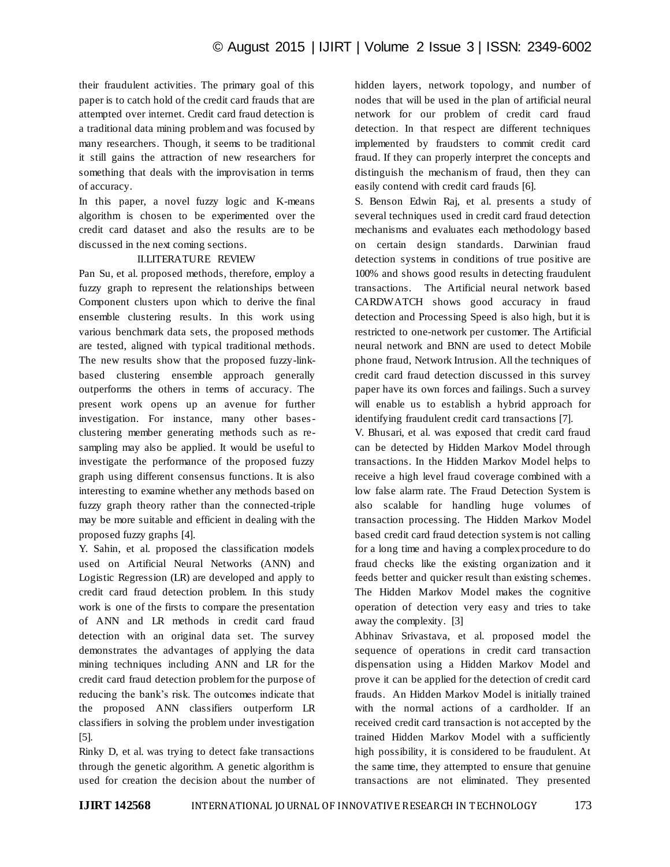their fraudulent activities. The primary goal of this paper is to catch hold of the credit card frauds that are attempted over internet. Credit card fraud detection is a traditional data mining problem and was focused by many researchers. Though, it seems to be traditional it still gains the attraction of new researchers for something that deals with the improvisation in terms of accuracy.

In this paper, a novel fuzzy logic and K-means algorithm is chosen to be experimented over the credit card dataset and also the results are to be discussed in the next coming sections.

## II.LITERATURE REVIEW

Pan Su, et al. proposed methods, therefore, employ a fuzzy graph to represent the relationships between Component clusters upon which to derive the final ensemble clustering results. In this work using various benchmark data sets, the proposed methods are tested, aligned with typical traditional methods. The new results show that the proposed fuzzy-linkbased clustering ensemble approach generally outperforms the others in terms of accuracy. The present work opens up an avenue for further investigation. For instance, many other basesclustering member generating methods such as resampling may also be applied. It would be useful to investigate the performance of the proposed fuzzy graph using different consensus functions. It is also interesting to examine whether any methods based on fuzzy graph theory rather than the connected-triple may be more suitable and efficient in dealing with the proposed fuzzy graphs [4].

Y. Sahin, et al. proposed the classification models used on Artificial Neural Networks (ANN) and Logistic Regression (LR) are developed and apply to credit card fraud detection problem. In this study work is one of the firsts to compare the presentation of ANN and LR methods in credit card fraud detection with an original data set. The survey demonstrates the advantages of applying the data mining techniques including ANN and LR for the credit card fraud detection problem for the purpose of reducing the bank"s risk. The outcomes indicate that the proposed ANN classifiers outperform LR classifiers in solving the problem under investigation [5].

Rinky D, et al. was trying to detect fake transactions through the genetic algorithm. A genetic algorithm is used for creation the decision about the number of hidden layers, network topology, and number of nodes that will be used in the plan of artificial neural network for our problem of credit card fraud detection. In that respect are different techniques implemented by fraudsters to commit credit card fraud. If they can properly interpret the concepts and distinguish the mechanism of fraud, then they can easily contend with credit card frauds [6].

S. Benson Edwin Raj, et al. presents a study of several techniques used in credit card fraud detection mechanisms and evaluates each methodology based on certain design standards. Darwinian fraud detection systems in conditions of true positive are 100% and shows good results in detecting fraudulent transactions. The Artificial neural network based CARDWATCH shows good accuracy in fraud detection and Processing Speed is also high, but it is restricted to one-network per customer. The Artificial neural network and BNN are used to detect Mobile phone fraud, Network Intrusion. All the techniques of credit card fraud detection discussed in this survey paper have its own forces and failings. Such a survey will enable us to establish a hybrid approach for identifying fraudulent credit card transactions [7].

V. Bhusari, et al. was exposed that credit card fraud can be detected by Hidden Markov Model through transactions. In the Hidden Markov Model helps to receive a high level fraud coverage combined with a low false alarm rate. The Fraud Detection System is also scalable for handling huge volumes of transaction processing. The Hidden Markov Model based credit card fraud detection system is not calling for a long time and having a complex procedure to do fraud checks like the existing organization and it feeds better and quicker result than existing schemes. The Hidden Markov Model makes the cognitive operation of detection very easy and tries to take away the complexity. [3]

Abhinav Srivastava, et al. proposed model the sequence of operations in credit card transaction dispensation using a Hidden Markov Model and prove it can be applied for the detection of credit card frauds. An Hidden Markov Model is initially trained with the normal actions of a cardholder. If an received credit card transaction is not accepted by the trained Hidden Markov Model with a sufficiently high possibility, it is considered to be fraudulent. At the same time, they attempted to ensure that genuine transactions are not eliminated. They presented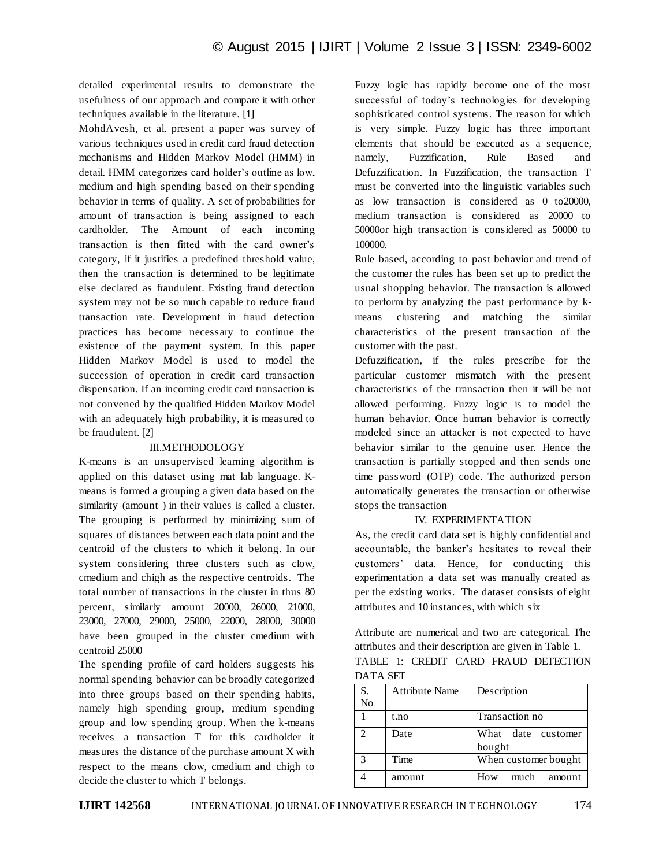detailed experimental results to demonstrate the usefulness of our approach and compare it with other techniques available in the literature. [1]

MohdAvesh, et al. present a paper was survey of various techniques used in credit card fraud detection mechanisms and Hidden Markov Model (HMM) in detail. HMM categorizes card holder"s outline as low, medium and high spending based on their spending behavior in terms of quality. A set of probabilities for amount of transaction is being assigned to each cardholder. The Amount of each incoming transaction is then fitted with the card owner"s category, if it justifies a predefined threshold value, then the transaction is determined to be legitimate else declared as fraudulent. Existing fraud detection system may not be so much capable to reduce fraud transaction rate. Development in fraud detection practices has become necessary to continue the existence of the payment system. In this paper Hidden Markov Model is used to model the succession of operation in credit card transaction dispensation. If an incoming credit card transaction is not convened by the qualified Hidden Markov Model with an adequately high probability, it is measured to be fraudulent. [2]

## III.METHODOLOGY

K-means is an unsupervised learning algorithm is applied on this dataset using mat lab language. Kmeans is formed a grouping a given data based on the similarity (amount ) in their values is called a cluster. The grouping is performed by minimizing sum of squares of distances between each data point and the centroid of the clusters to which it belong. In our system considering three clusters such as clow, cmedium and chigh as the respective centroids. The total number of transactions in the cluster in thus 80 percent, similarly amount 20000, 26000, 21000, 23000, 27000, 29000, 25000, 22000, 28000, 30000 have been grouped in the cluster cmedium with centroid 25000

The spending profile of card holders suggests his normal spending behavior can be broadly categorized into three groups based on their spending habits, namely high spending group, medium spending group and low spending group. When the k-means receives a transaction T for this cardholder it measures the distance of the purchase amount X with respect to the means clow, cmedium and chigh to decide the cluster to which T belongs.

Fuzzy logic has rapidly become one of the most successful of today"s technologies for developing sophisticated control systems. The reason for which is very simple. Fuzzy logic has three important elements that should be executed as a sequence, namely, Fuzzification, Rule Based and Defuzzification. In Fuzzification, the transaction T must be converted into the linguistic variables such as low transaction is considered as 0 to20000, medium transaction is considered as 20000 to 50000or high transaction is considered as 50000 to 100000.

Rule based, according to past behavior and trend of the customer the rules has been set up to predict the usual shopping behavior. The transaction is allowed to perform by analyzing the past performance by kmeans clustering and matching the similar characteristics of the present transaction of the customer with the past.

Defuzzification, if the rules prescribe for the particular customer mismatch with the present characteristics of the transaction then it will be not allowed performing. Fuzzy logic is to model the human behavior. Once human behavior is correctly modeled since an attacker is not expected to have behavior similar to the genuine user. Hence the transaction is partially stopped and then sends one time password (OTP) code. The authorized person automatically generates the transaction or otherwise stops the transaction

# IV. EXPERIMENTATION

As, the credit card data set is highly confidential and accountable, the banker"s hesitates to reveal their customers" data. Hence, for conducting this experimentation a data set was manually created as per the existing works. The dataset consists of eight attributes and 10 instances, with which six

Attribute are numerical and two are categorical. The attributes and their description are given in Table 1. TABLE 1: CREDIT CARD FRAUD DETECTION DATA SET

| S.                          | <b>Attribute Name</b> | Description           |
|-----------------------------|-----------------------|-----------------------|
| $\overline{N}$              |                       |                       |
|                             | t.no                  | Transaction no        |
| $\mathcal{D}_{\mathcal{L}}$ | Date                  | What date customer    |
|                             |                       | bought                |
|                             | Time                  | When customer bought  |
|                             | amount                | How<br>much<br>amount |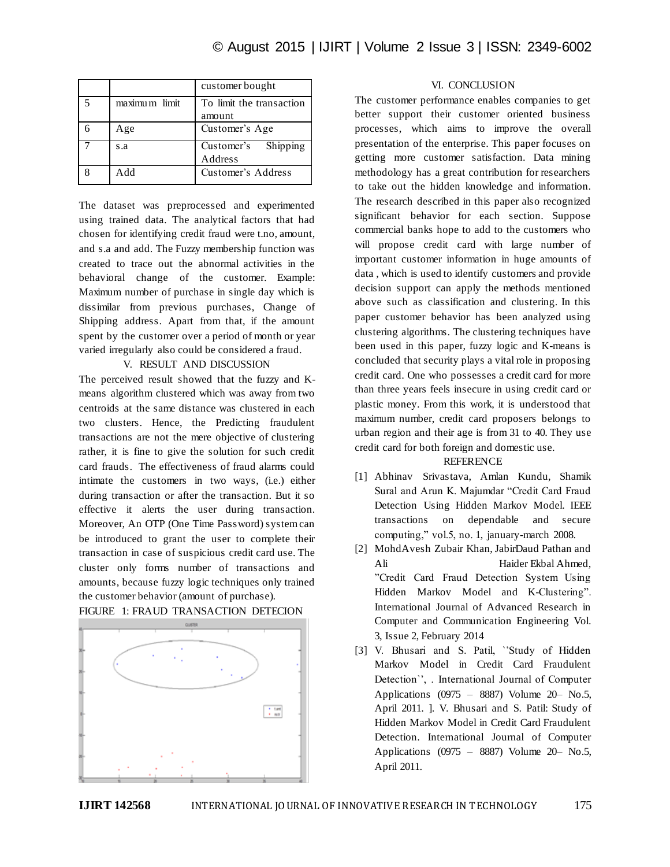|               | customer bought                       |
|---------------|---------------------------------------|
| maximum limit | To limit the transaction<br>amount    |
| Age           | Customer's Age                        |
| s.a           | Customer's Shipping<br><b>Address</b> |
| A dd          | Customer's Address                    |

The dataset was preprocessed and experimented using trained data. The analytical factors that had chosen for identifying credit fraud were t.no, amount, and s.a and add. The Fuzzy membership function was created to trace out the abnormal activities in the behavioral change of the customer. Example: Maximum number of purchase in single day which is dissimilar from previous purchases, Change of Shipping address. Apart from that, if the amount spent by the customer over a period of month or year varied irregularly also could be considered a fraud.

## V. RESULT AND DISCUSSION

The perceived result showed that the fuzzy and Kmeans algorithm clustered which was away from two centroids at the same distance was clustered in each two clusters. Hence, the Predicting fraudulent transactions are not the mere objective of clustering rather, it is fine to give the solution for such credit card frauds. The effectiveness of fraud alarms could intimate the customers in two ways, (i.e.) either during transaction or after the transaction. But it so effective it alerts the user during transaction. Moreover, An OTP (One Time Password) system can be introduced to grant the user to complete their transaction in case of suspicious credit card use. The cluster only forms number of transactions and amounts, because fuzzy logic techniques only trained the customer behavior (amount of purchase).



## FIGURE 1: FRAUD TRANSACTION DETECION

## VI. CONCLUSION

The customer performance enables companies to get better support their customer oriented business processes, which aims to improve the overall presentation of the enterprise. This paper focuses on getting more customer satisfaction. Data mining methodology has a great contribution for researchers to take out the hidden knowledge and information. The research described in this paper also recognized significant behavior for each section. Suppose commercial banks hope to add to the customers who will propose credit card with large number of important customer information in huge amounts of data , which is used to identify customers and provide decision support can apply the methods mentioned above such as classification and clustering. In this paper customer behavior has been analyzed using clustering algorithms. The clustering techniques have been used in this paper, fuzzy logic and K-means is concluded that security plays a vital role in proposing credit card. One who possesses a credit card for more than three years feels insecure in using credit card or plastic money. From this work, it is understood that maximum number, credit card proposers belongs to urban region and their age is from 31 to 40. They use credit card for both foreign and domestic use.

## REFERENCE

- [1] Abhinav Srivastava, Amlan Kundu, Shamik Sural and Arun K. Majumdar "Credit Card Fraud Detection Using Hidden Markov Model. IEEE transactions on dependable and secure computing," vol.5, no. 1, january-march 2008.
- [2] MohdAvesh Zubair Khan, JabirDaud Pathan and Ali Haider Ekbal Ahmed, "Credit Card Fraud Detection System Using Hidden Markov Model and K-Clustering". International Journal of Advanced Research in Computer and Communication Engineering Vol. 3, Issue 2, February 2014
- [3] V. Bhusari and S. Patil, "Study of Hidden Markov Model in Credit Card Fraudulent Detection`", . International Journal of Computer Applications (0975 – 8887) Volume 20– No.5, April 2011. ]. V. Bhusari and S. Patil: Study of Hidden Markov Model in Credit Card Fraudulent Detection. International Journal of Computer Applications (0975 – 8887) Volume 20– No.5, April 2011.